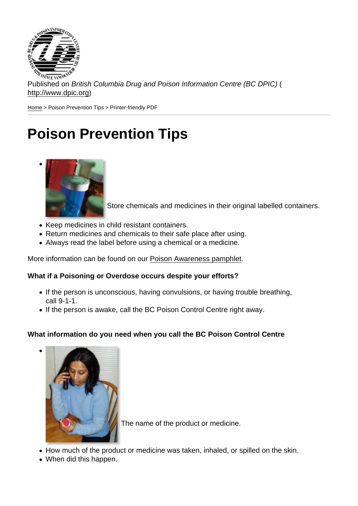Published on British Columbia Drug and Poison Information Centre (BC DPIC) ( http://www.dpic.org)

Home > Poison Prevention Tips > Printer-friendly PDF

 $\bullet$ 

 $\bullet$ 

## [Po](http://www.dpic.org/)ison Prevention Tips

Store chemicals and medicines in their original labelled containers.

- Keep medicines in child resistant containers.
- Return medicines and chemicals to their safe place after using.
- Always read the label before using a chemical or a medicine.

More information can be found on our Poison Awareness pamphlet.

What if a Poisoning or Overdose occurs despite your efforts?

- If the person is unconscious, ha[ving convulsions, or having tro](http://www.dpic.org/content/poison-prevention-materials)uble breathing, call 9-1-1.
- If the person is awake, call the BC Poison Control Centre right away.

What information do you need when you call the BC Poison Control Centre

The name of the product or medicine.

- How much of the product or medicine was taken, inhaled, or spilled on the skin.
- When did this happen.